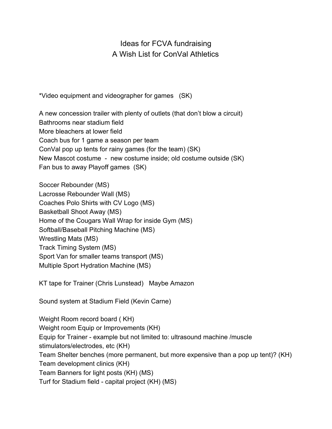Ideas for FCVA fundraising A Wish List for ConVal Athletics

\*Video equipment and videographer for games (SK)

A new concession trailer with plenty of outlets (that don't blow a circuit) Bathrooms near stadium field More bleachers at lower field Coach bus for 1 game a season per team ConVal pop up tents for rainy games (for the team) (SK) New Mascot costume - new costume inside; old costume outside (SK) Fan bus to away Playoff games (SK)

Soccer Rebounder (MS) Lacrosse Rebounder Wall (MS) Coaches Polo Shirts with CV Logo (MS) Basketball Shoot Away (MS) Home of the Cougars Wall Wrap for inside Gym (MS) Softball/Baseball Pitching Machine (MS) Wrestling Mats (MS) Track Timing System (MS) Sport Van for smaller teams transport (MS) Multiple Sport Hydration Machine (MS)

KT tape for Trainer (Chris Lunstead) Maybe Amazon

Sound system at Stadium Field (Kevin Carne)

Weight Room record board ( KH) Weight room Equip or Improvements (KH) Equip for Trainer - example but not limited to: ultrasound machine /muscle stimulators/electrodes, etc (KH) Team Shelter benches (more permanent, but more expensive than a pop up tent)? (KH) Team development clinics (KH) Team Banners for light posts (KH) (MS) Turf for Stadium field - capital project (KH) (MS)